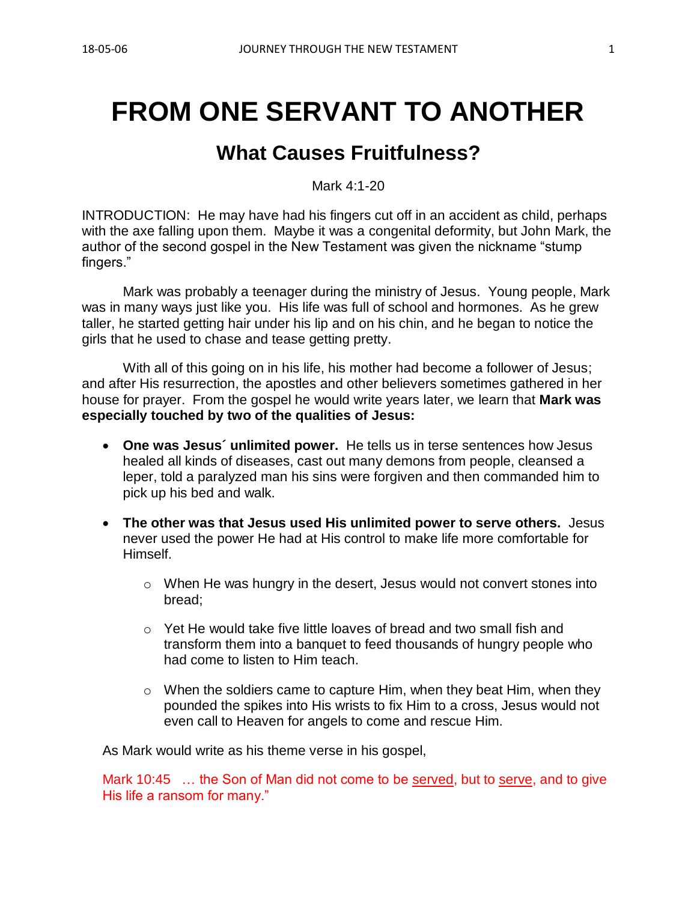# **FROM ONE SERVANT TO ANOTHER**

## **What Causes Fruitfulness?**

Mark 4:1-20

INTRODUCTION: He may have had his fingers cut off in an accident as child, perhaps with the axe falling upon them. Maybe it was a congenital deformity, but John Mark, the author of the second gospel in the New Testament was given the nickname "stump fingers."

Mark was probably a teenager during the ministry of Jesus. Young people, Mark was in many ways just like you. His life was full of school and hormones. As he grew taller, he started getting hair under his lip and on his chin, and he began to notice the girls that he used to chase and tease getting pretty.

With all of this going on in his life, his mother had become a follower of Jesus; and after His resurrection, the apostles and other believers sometimes gathered in her house for prayer. From the gospel he would write years later, we learn that **Mark was especially touched by two of the qualities of Jesus:** 

- **One was Jesus´ unlimited power.** He tells us in terse sentences how Jesus healed all kinds of diseases, cast out many demons from people, cleansed a leper, told a paralyzed man his sins were forgiven and then commanded him to pick up his bed and walk.
- **The other was that Jesus used His unlimited power to serve others.** Jesus never used the power He had at His control to make life more comfortable for **Himself** 
	- o When He was hungry in the desert, Jesus would not convert stones into bread;
	- o Yet He would take five little loaves of bread and two small fish and transform them into a banquet to feed thousands of hungry people who had come to listen to Him teach.
	- $\circ$  When the soldiers came to capture Him, when they beat Him, when they pounded the spikes into His wrists to fix Him to a cross, Jesus would not even call to Heaven for angels to come and rescue Him.

As Mark would write as his theme verse in his gospel,

Mark 10:45 … the Son of Man did not come to be served, but to serve, and to give His life a ransom for many."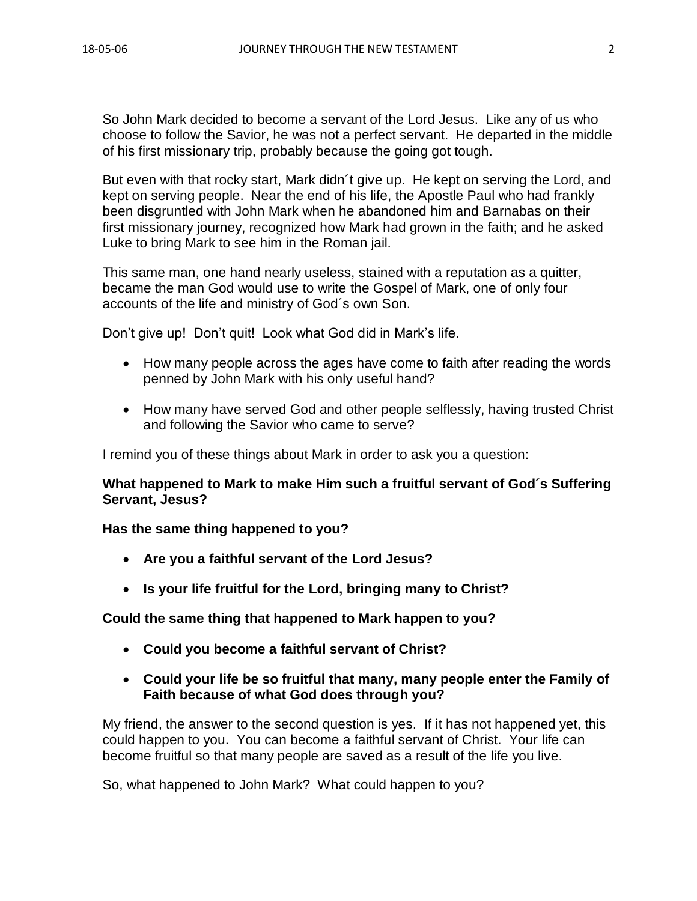So John Mark decided to become a servant of the Lord Jesus. Like any of us who choose to follow the Savior, he was not a perfect servant. He departed in the middle of his first missionary trip, probably because the going got tough.

But even with that rocky start, Mark didn´t give up. He kept on serving the Lord, and kept on serving people. Near the end of his life, the Apostle Paul who had frankly been disgruntled with John Mark when he abandoned him and Barnabas on their first missionary journey, recognized how Mark had grown in the faith; and he asked Luke to bring Mark to see him in the Roman jail.

This same man, one hand nearly useless, stained with a reputation as a quitter, became the man God would use to write the Gospel of Mark, one of only four accounts of the life and ministry of God´s own Son.

Don't give up! Don't quit! Look what God did in Mark's life.

- How many people across the ages have come to faith after reading the words penned by John Mark with his only useful hand?
- How many have served God and other people selflessly, having trusted Christ and following the Savior who came to serve?

I remind you of these things about Mark in order to ask you a question:

**What happened to Mark to make Him such a fruitful servant of God´s Suffering Servant, Jesus?**

#### **Has the same thing happened to you?**

- **Are you a faithful servant of the Lord Jesus?**
- **Is your life fruitful for the Lord, bringing many to Christ?**

#### **Could the same thing that happened to Mark happen to you?**

- **Could you become a faithful servant of Christ?**
- **Could your life be so fruitful that many, many people enter the Family of Faith because of what God does through you?**

My friend, the answer to the second question is yes. If it has not happened yet, this could happen to you. You can become a faithful servant of Christ. Your life can become fruitful so that many people are saved as a result of the life you live.

So, what happened to John Mark? What could happen to you?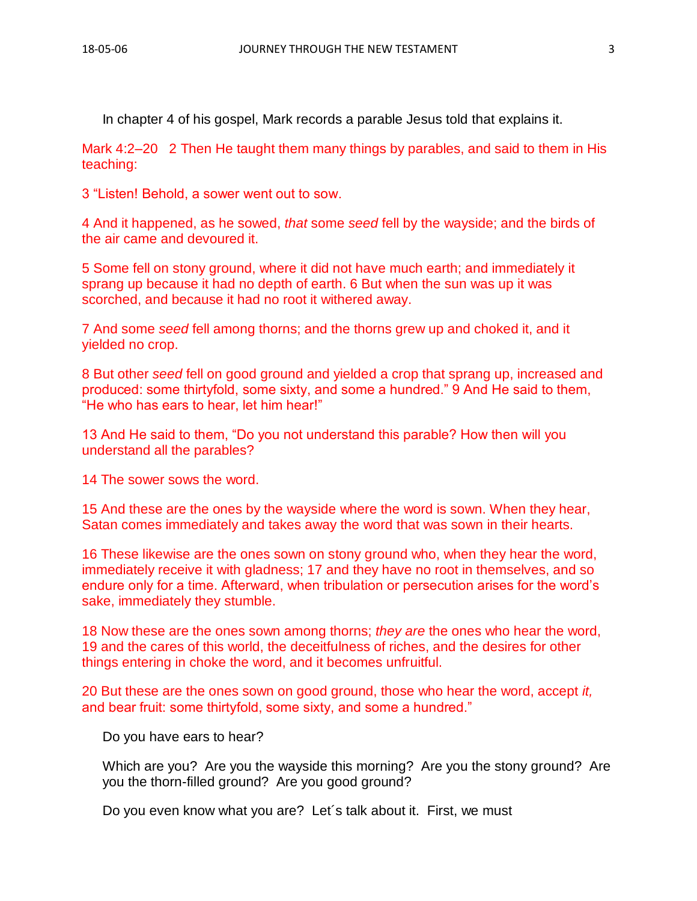In chapter 4 of his gospel, Mark records a parable Jesus told that explains it.

Mark 4:2–20 2 Then He taught them many things by parables, and said to them in His teaching:

3 "Listen! Behold, a sower went out to sow.

4 And it happened, as he sowed, *that* some *seed* fell by the wayside; and the birds of the air came and devoured it.

5 Some fell on stony ground, where it did not have much earth; and immediately it sprang up because it had no depth of earth. 6 But when the sun was up it was scorched, and because it had no root it withered away.

7 And some *seed* fell among thorns; and the thorns grew up and choked it, and it yielded no crop.

8 But other *seed* fell on good ground and yielded a crop that sprang up, increased and produced: some thirtyfold, some sixty, and some a hundred." 9 And He said to them, "He who has ears to hear, let him hear!"

13 And He said to them, "Do you not understand this parable? How then will you understand all the parables?

14 The sower sows the word.

15 And these are the ones by the wayside where the word is sown. When they hear, Satan comes immediately and takes away the word that was sown in their hearts.

16 These likewise are the ones sown on stony ground who, when they hear the word, immediately receive it with gladness; 17 and they have no root in themselves, and so endure only for a time. Afterward, when tribulation or persecution arises for the word's sake, immediately they stumble.

18 Now these are the ones sown among thorns; *they are* the ones who hear the word, 19 and the cares of this world, the deceitfulness of riches, and the desires for other things entering in choke the word, and it becomes unfruitful.

20 But these are the ones sown on good ground, those who hear the word, accept *it,* and bear fruit: some thirtyfold, some sixty, and some a hundred."

Do you have ears to hear?

Which are you? Are you the wayside this morning? Are you the stony ground? Are you the thorn-filled ground? Are you good ground?

Do you even know what you are? Let´s talk about it. First, we must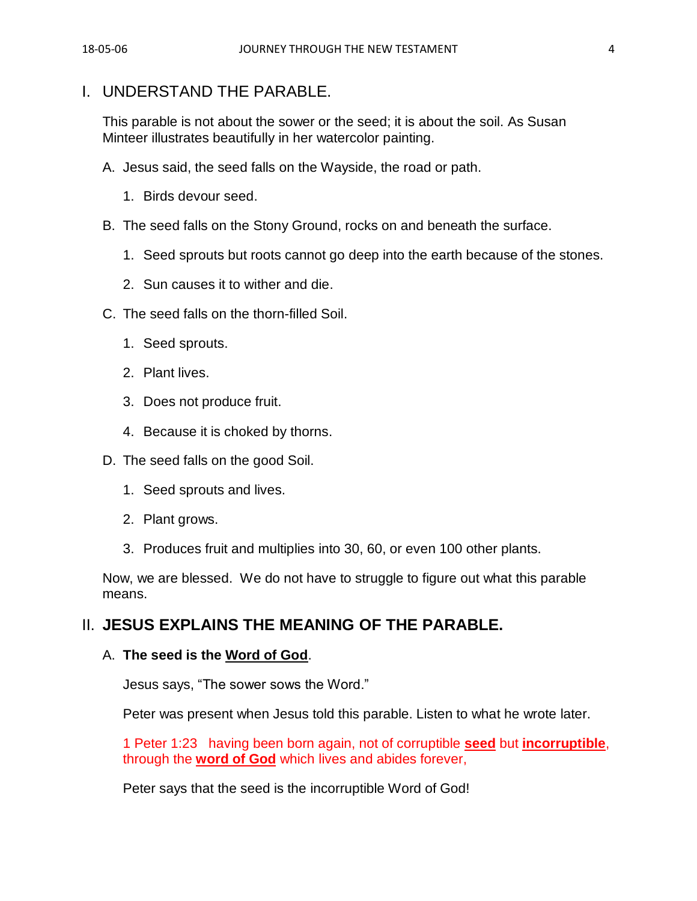## I. UNDERSTAND THE PARABLE.

This parable is not about the sower or the seed; it is about the soil. As Susan Minteer illustrates beautifully in her watercolor painting.

- A. Jesus said, the seed falls on the Wayside, the road or path.
	- 1. Birds devour seed.
- B. The seed falls on the Stony Ground, rocks on and beneath the surface.
	- 1. Seed sprouts but roots cannot go deep into the earth because of the stones.
	- 2. Sun causes it to wither and die.
- C. The seed falls on the thorn-filled Soil.
	- 1. Seed sprouts.
	- 2. Plant lives.
	- 3. Does not produce fruit.
	- 4. Because it is choked by thorns.
- D. The seed falls on the good Soil.
	- 1. Seed sprouts and lives.
	- 2. Plant grows.
	- 3. Produces fruit and multiplies into 30, 60, or even 100 other plants.

Now, we are blessed. We do not have to struggle to figure out what this parable means.

## II. **JESUS EXPLAINS THE MEANING OF THE PARABLE.**

#### A. **The seed is the Word of God**.

Jesus says, "The sower sows the Word."

Peter was present when Jesus told this parable. Listen to what he wrote later.

1 Peter 1:23 having been born again, not of corruptible **seed** but **incorruptible**, through the **word of God** which lives and abides forever,

Peter says that the seed is the incorruptible Word of God!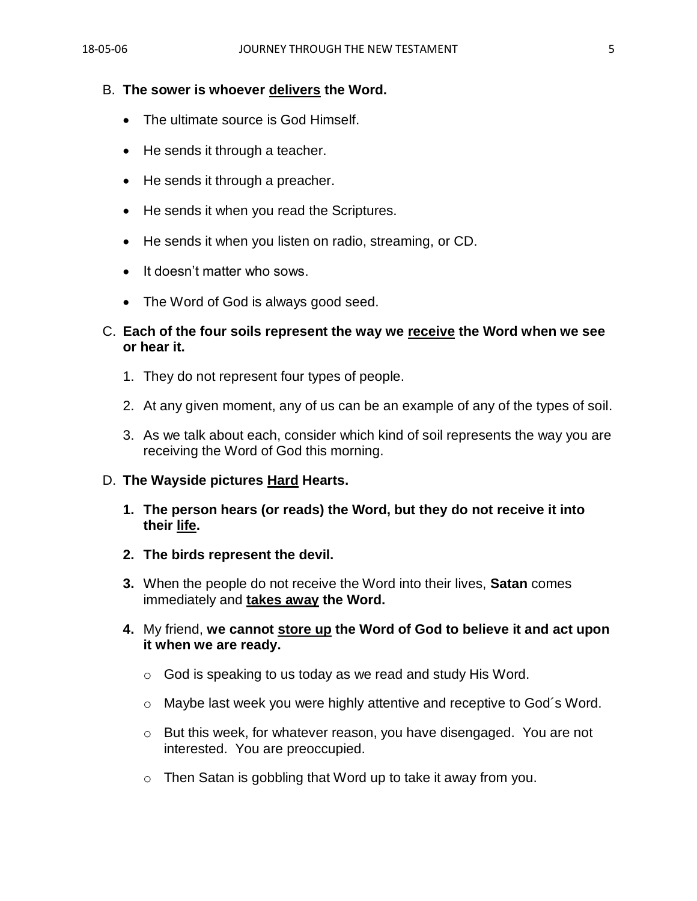#### B. **The sower is whoever delivers the Word.**

- The ultimate source is God Himself.
- He sends it through a teacher.
- He sends it through a preacher.
- He sends it when you read the Scriptures.
- He sends it when you listen on radio, streaming, or CD.
- It doesn't matter who sows.
- The Word of God is always good seed.

#### C. **Each of the four soils represent the way we receive the Word when we see or hear it.**

- 1. They do not represent four types of people.
- 2. At any given moment, any of us can be an example of any of the types of soil.
- 3. As we talk about each, consider which kind of soil represents the way you are receiving the Word of God this morning.

#### D. **The Wayside pictures Hard Hearts.**

- **1. The person hears (or reads) the Word, but they do not receive it into their life.**
- **2. The birds represent the devil.**
- **3.** When the people do not receive the Word into their lives, **Satan** comes immediately and **takes away the Word.**
- **4.** My friend, **we cannot store up the Word of God to believe it and act upon it when we are ready.**
	- $\circ$  God is speaking to us today as we read and study His Word.
	- o Maybe last week you were highly attentive and receptive to God´s Word.
	- o But this week, for whatever reason, you have disengaged. You are not interested. You are preoccupied.
	- o Then Satan is gobbling that Word up to take it away from you.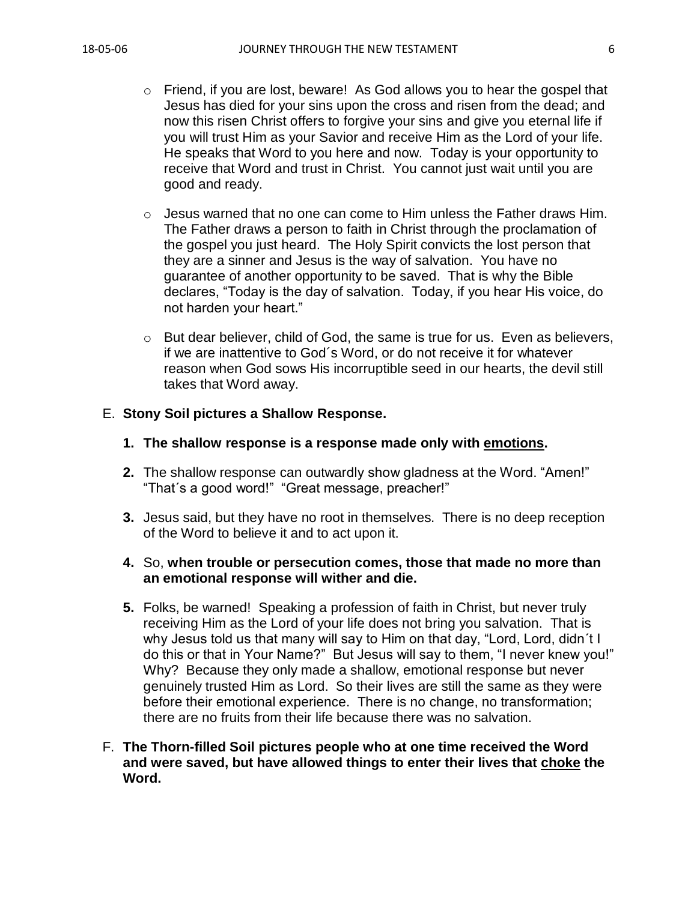- o Friend, if you are lost, beware! As God allows you to hear the gospel that Jesus has died for your sins upon the cross and risen from the dead; and now this risen Christ offers to forgive your sins and give you eternal life if you will trust Him as your Savior and receive Him as the Lord of your life. He speaks that Word to you here and now. Today is your opportunity to receive that Word and trust in Christ. You cannot just wait until you are good and ready.
- $\circ$  Jesus warned that no one can come to Him unless the Father draws Him. The Father draws a person to faith in Christ through the proclamation of the gospel you just heard. The Holy Spirit convicts the lost person that they are a sinner and Jesus is the way of salvation. You have no guarantee of another opportunity to be saved. That is why the Bible declares, "Today is the day of salvation. Today, if you hear His voice, do not harden your heart."
- o But dear believer, child of God, the same is true for us. Even as believers, if we are inattentive to God´s Word, or do not receive it for whatever reason when God sows His incorruptible seed in our hearts, the devil still takes that Word away.

#### E. **Stony Soil pictures a Shallow Response.**

- **1. The shallow response is a response made only with emotions.**
- **2.** The shallow response can outwardly show gladness at the Word. "Amen!" "That´s a good word!" "Great message, preacher!"
- **3.** Jesus said, but they have no root in themselves. There is no deep reception of the Word to believe it and to act upon it.

#### **4.** So, **when trouble or persecution comes, those that made no more than an emotional response will wither and die.**

- **5.** Folks, be warned! Speaking a profession of faith in Christ, but never truly receiving Him as the Lord of your life does not bring you salvation. That is why Jesus told us that many will say to Him on that day, "Lord, Lord, didn´t I do this or that in Your Name?" But Jesus will say to them, "I never knew you!" Why? Because they only made a shallow, emotional response but never genuinely trusted Him as Lord. So their lives are still the same as they were before their emotional experience. There is no change, no transformation; there are no fruits from their life because there was no salvation.
- F. **The Thorn-filled Soil pictures people who at one time received the Word and were saved, but have allowed things to enter their lives that choke the Word.**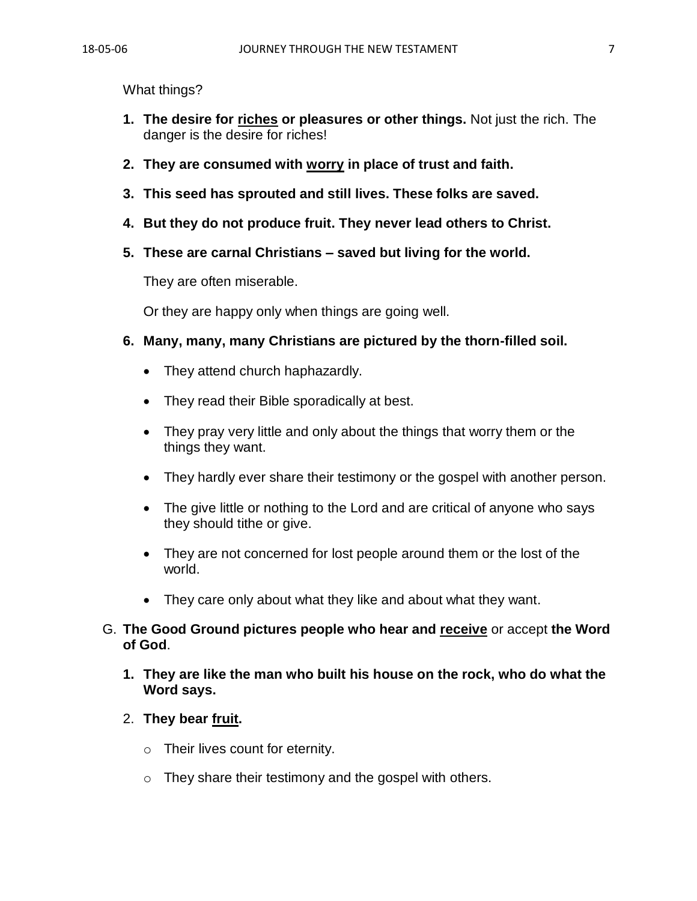What things?

- **1. The desire for riches or pleasures or other things.** Not just the rich. The danger is the desire for riches!
- **2. They are consumed with worry in place of trust and faith.**
- **3. This seed has sprouted and still lives. These folks are saved.**
- **4. But they do not produce fruit. They never lead others to Christ.**
- **5. These are carnal Christians – saved but living for the world.**

They are often miserable.

Or they are happy only when things are going well.

- **6. Many, many, many Christians are pictured by the thorn-filled soil.**
	- They attend church haphazardly.
	- They read their Bible sporadically at best.
	- They pray very little and only about the things that worry them or the things they want.
	- They hardly ever share their testimony or the gospel with another person.
	- The give little or nothing to the Lord and are critical of anyone who says they should tithe or give.
	- They are not concerned for lost people around them or the lost of the world.
	- They care only about what they like and about what they want.
- G. **The Good Ground pictures people who hear and receive** or accept **the Word of God**.
	- **1. They are like the man who built his house on the rock, who do what the Word says.**
	- 2. **They bear fruit.** 
		- $\circ$  Their lives count for eternity.
		- $\circ$  They share their testimony and the gospel with others.